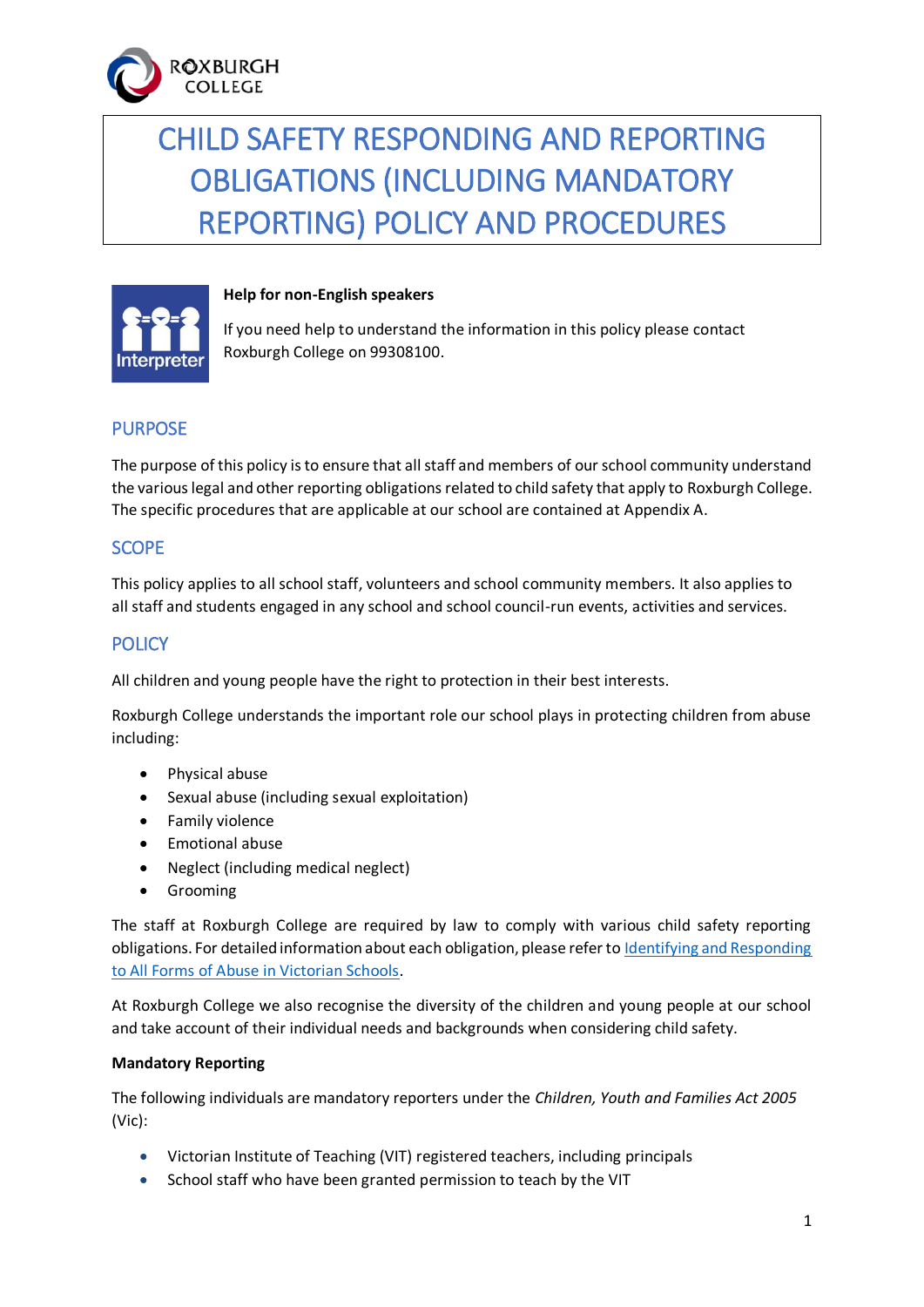

# CHILD SAFETY RESPONDING AND REPORTING OBLIGATIONS (INCLUDING MANDATORY REPORTING) POLICY AND PROCEDURES



### **Help for non-English speakers**

If you need help to understand the information in this policy please contact Roxburgh College on 99308100.

# PURPOSE

The purpose of this policy is to ensure that all staff and members of our school community understand the various legal and other reporting obligations related to child safety that apply to Roxburgh College. The specific procedures that are applicable at our school are contained at Appendix A.

# **SCOPE**

This policy applies to all school staff, volunteers and school community members. It also applies to all staff and students engaged in any school and school council-run events, activities and services.

# **POLICY**

All children and young people have the right to protection in their best interests.

Roxburgh College understands the important role our school plays in protecting children from abuse including:

- Physical abuse
- Sexual abuse (including sexual exploitation)
- Family violence
- Emotional abuse
- Neglect (including medical neglect)
- **•** Grooming

The staff at Roxburgh College are required by law to comply with various child safety reporting obligations. For detailed information about each obligation, please refer t[o Identifying and Responding](https://www.education.vic.gov.au/Documents/about/programs/health/protect/ChildSafeStandard5_SchoolsGuide.pdf)  [to All Forms of Abuse in Victorian Schools.](https://www.education.vic.gov.au/Documents/about/programs/health/protect/ChildSafeStandard5_SchoolsGuide.pdf)

At Roxburgh College we also recognise the diversity of the children and young people at our school and take account of their individual needs and backgrounds when considering child safety.

#### **Mandatory Reporting**

The following individuals are mandatory reporters under the *Children, Youth and Families Act 2005* (Vic):

- Victorian Institute of Teaching (VIT) registered teachers, including principals
- School staff who have been granted permission to teach by the VIT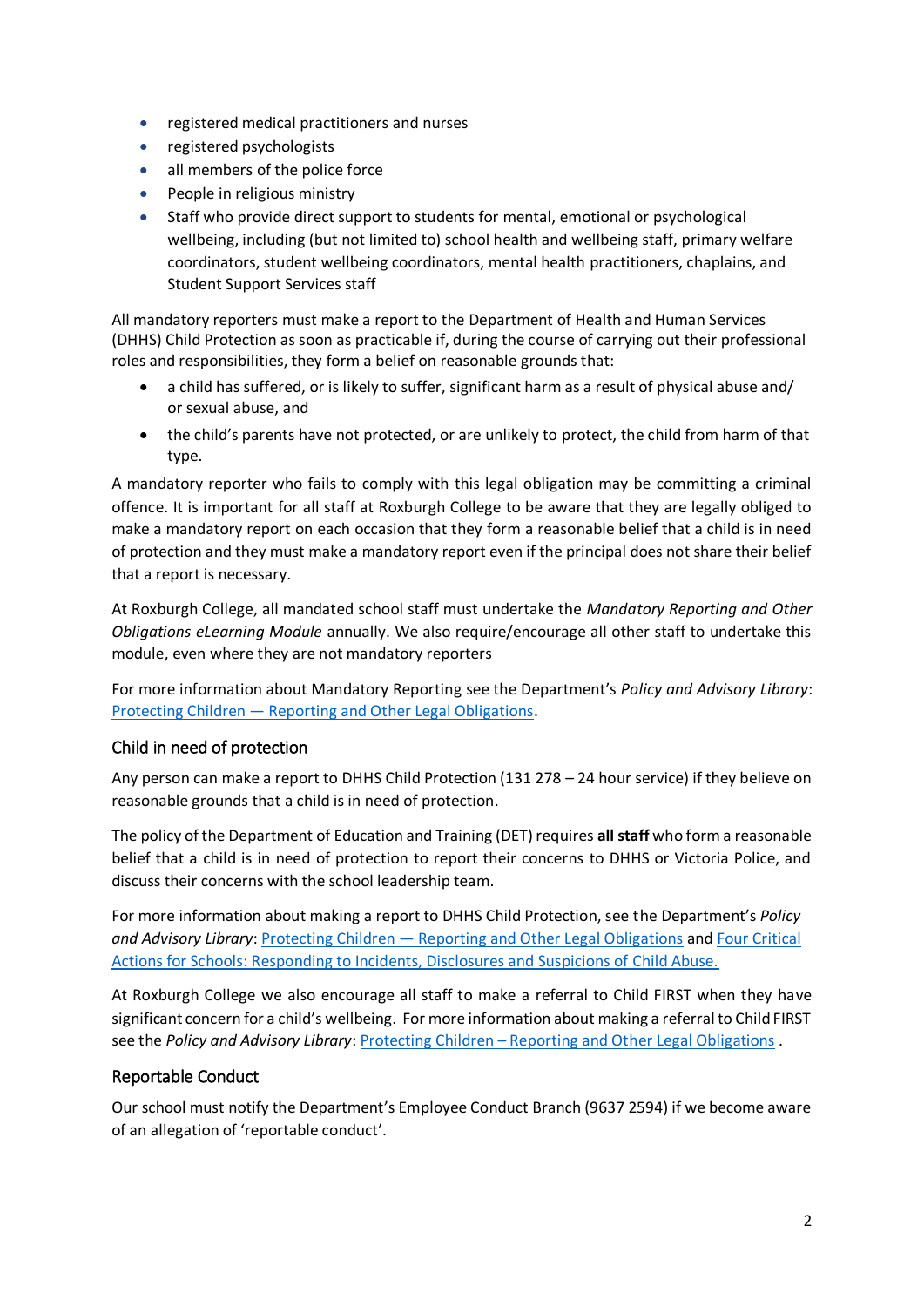- registered medical practitioners and nurses
- registered psychologists
- all members of the police force
- People in religious ministry
- Staff who provide direct support to students for mental, emotional or psychological wellbeing, including (but not limited to) school health and wellbeing staff, primary welfare coordinators, student wellbeing coordinators, mental health practitioners, chaplains, and Student Support Services staff

All mandatory reporters must make a report to the Department of Health and Human Services (DHHS) Child Protection as soon as practicable if, during the course of carrying out their professional roles and responsibilities, they form a belief on reasonable grounds that:

- a child has suffered, or is likely to suffer, significant harm as a result of physical abuse and/ or sexual abuse, and
- the child's parents have not protected, or are unlikely to protect, the child from harm of that type.

A mandatory reporter who fails to comply with this legal obligation may be committing a criminal offence. It is important for all staff at Roxburgh College to be aware that they are legally obliged to make a mandatory report on each occasion that they form a reasonable belief that a child is in need of protection and they must make a mandatory report even if the principal does not share their belief that a report is necessary.

At Roxburgh College, all mandated school staff must undertake the *Mandatory Reporting and Other Obligations eLearning Module* annually. We also require/encourage all other staff to undertake this module, even where they are not mandatory reporters

For more information about Mandatory Reporting see the Department's *Policy and Advisory Library*: Protecting Children — [Reporting and Other Legal Obligations.](https://www2.education.vic.gov.au/pal/protecting-children/policy)

## Child in need of protection

Any person can make a report to DHHS Child Protection (131 278 – 24 hour service) if they believe on reasonable grounds that a child is in need of protection.

The policy of the Department of Education and Training (DET) requires **all staff** who form a reasonable belief that a child is in need of protection to report their concerns to DHHS or Victoria Police, and discuss their concerns with the school leadership team.

For more information about making a report to DHHS Child Protection, see the Department's *Policy and Advisory Library*: Protecting Children — [Reporting and Other Legal Obligations](https://www2.education.vic.gov.au/pal/protecting-children/policy) and [Four Critical](https://www.education.vic.gov.au/Documents/about/programs/health/protect/FourCriticalActions_ChildAbuse.pdf)  [Actions for Schools: Responding to Incidents, Disclosures and Suspicions of Child Abuse.](https://www.education.vic.gov.au/Documents/about/programs/health/protect/FourCriticalActions_ChildAbuse.pdf)

At Roxburgh College we also encourage all staff to make a referral to Child FIRST when they have significant concern for a child's wellbeing. For more information about making a referral to Child FIRST see the *Policy and Advisory Library*: Protecting Children – [Reporting and Other Legal Obligations](https://www2.education.vic.gov.au/pal/protecting-children/policy) .

## Reportable Conduct

Our school must notify the Department's Employee Conduct Branch (9637 2594) if we become aware of an allegation of 'reportable conduct'.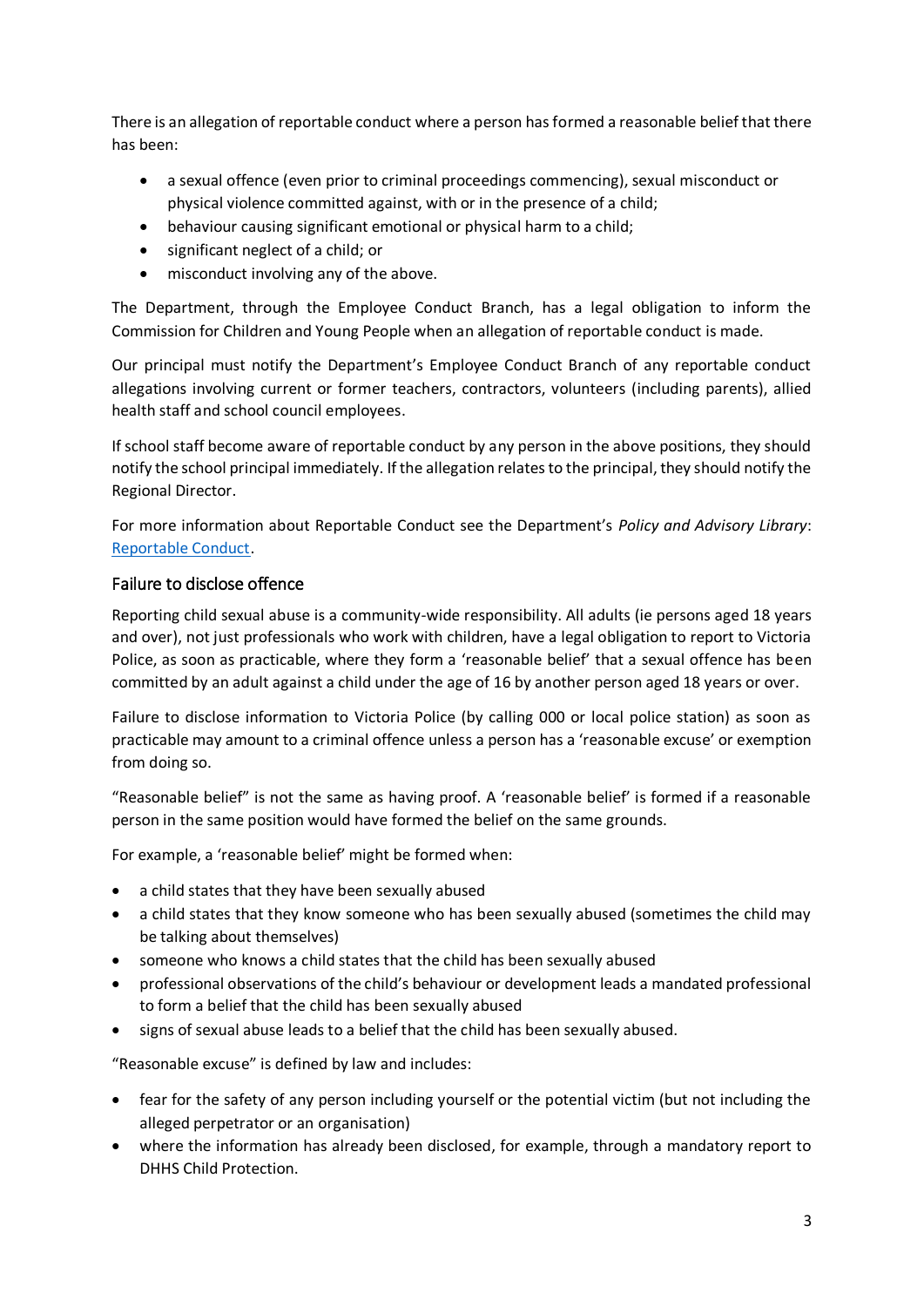There is an allegation of reportable conduct where a person has formed a reasonable belief that there has been:

- a sexual offence (even prior to criminal proceedings commencing), sexual misconduct or physical violence committed against, with or in the presence of a child;
- behaviour causing significant emotional or physical harm to a child;
- significant neglect of a child; or
- misconduct involving any of the above.

The Department, through the Employee Conduct Branch, has a legal obligation to inform the Commission for Children and Young People when an allegation of reportable conduct is made.

Our principal must notify the Department's Employee Conduct Branch of any reportable conduct allegations involving current or former teachers, contractors, volunteers (including parents), allied health staff and school council employees.

If school staff become aware of reportable conduct by any person in the above positions, they should notify the school principal immediately. If the allegation relates to the principal, they should notify the Regional Director.

For more information about Reportable Conduct see the Department's *Policy and Advisory Library*: [Reportable Conduct.](https://www2.education.vic.gov.au/pal/reportable-conduct-scheme/policy)

## Failure to disclose offence

Reporting child sexual abuse is a community-wide responsibility. All adults (ie persons aged 18 years and over), not just professionals who work with children, have a legal obligation to report to Victoria Police, as soon as practicable, where they form a 'reasonable belief' that a sexual offence has been committed by an adult against a child under the age of 16 by another person aged 18 years or over.

Failure to disclose information to Victoria Police (by calling 000 or local police station) as soon as practicable may amount to a criminal offence unless a person has a 'reasonable excuse' or exemption from doing so.

"Reasonable belief" is not the same as having proof. A 'reasonable belief' is formed if a reasonable person in the same position would have formed the belief on the same grounds.

For example, a 'reasonable belief' might be formed when:

- a child states that they have been sexually abused
- a child states that they know someone who has been sexually abused (sometimes the child may be talking about themselves)
- someone who knows a child states that the child has been sexually abused
- professional observations of the child's behaviour or development leads a mandated professional to form a belief that the child has been sexually abused
- signs of sexual abuse leads to a belief that the child has been sexually abused.

"Reasonable excuse" is defined by law and includes:

- fear for the safety of any person including yourself or the potential victim (but not including the alleged perpetrator or an organisation)
- where the information has already been disclosed, for example, through a mandatory report to DHHS Child Protection.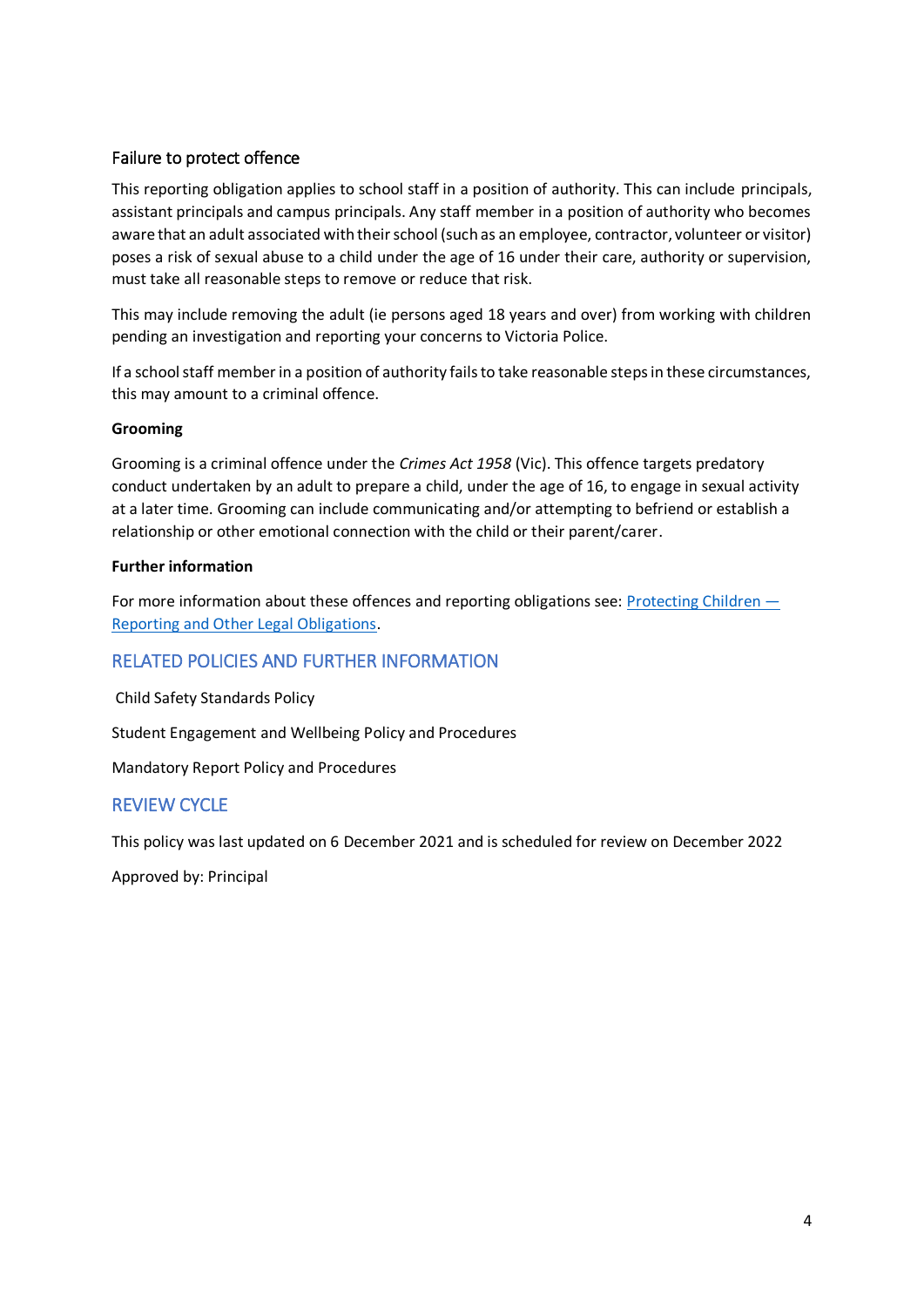## Failure to protect offence

This reporting obligation applies to school staff in a position of authority. This can include principals, assistant principals and campus principals. Any staff member in a position of authority who becomes aware that an adult associated with their school (such as an employee, contractor, volunteer or visitor) poses a risk of sexual abuse to a child under the age of 16 under their care, authority or supervision, must take all reasonable steps to remove or reduce that risk.

This may include removing the adult (ie persons aged 18 years and over) from working with children pending an investigation and reporting your concerns to Victoria Police.

If a school staff member in a position of authority fails to take reasonable steps in these circumstances, this may amount to a criminal offence.

#### **Grooming**

Grooming is a criminal offence under the *Crimes Act 1958* (Vic). This offence targets predatory conduct undertaken by an adult to prepare a child, under the age of 16, to engage in sexual activity at a later time. Grooming can include communicating and/or attempting to befriend or establish a relationship or other emotional connection with the child or their parent/carer.

#### **Further information**

For more information about these offences and reporting obligations see: [Protecting Children](https://www2.education.vic.gov.au/pal/protecting-children/policy) – [Reporting and Other Legal Obligations.](https://www2.education.vic.gov.au/pal/protecting-children/policy)

## RELATED POLICIES AND FURTHER INFORMATION

Child Safety Standards Policy

Student Engagement and Wellbeing Policy and Procedures

Mandatory Report Policy and Procedures

### REVIEW CYCLE

This policy was last updated on 6 December 2021 and is scheduled for review on December 2022

Approved by: Principal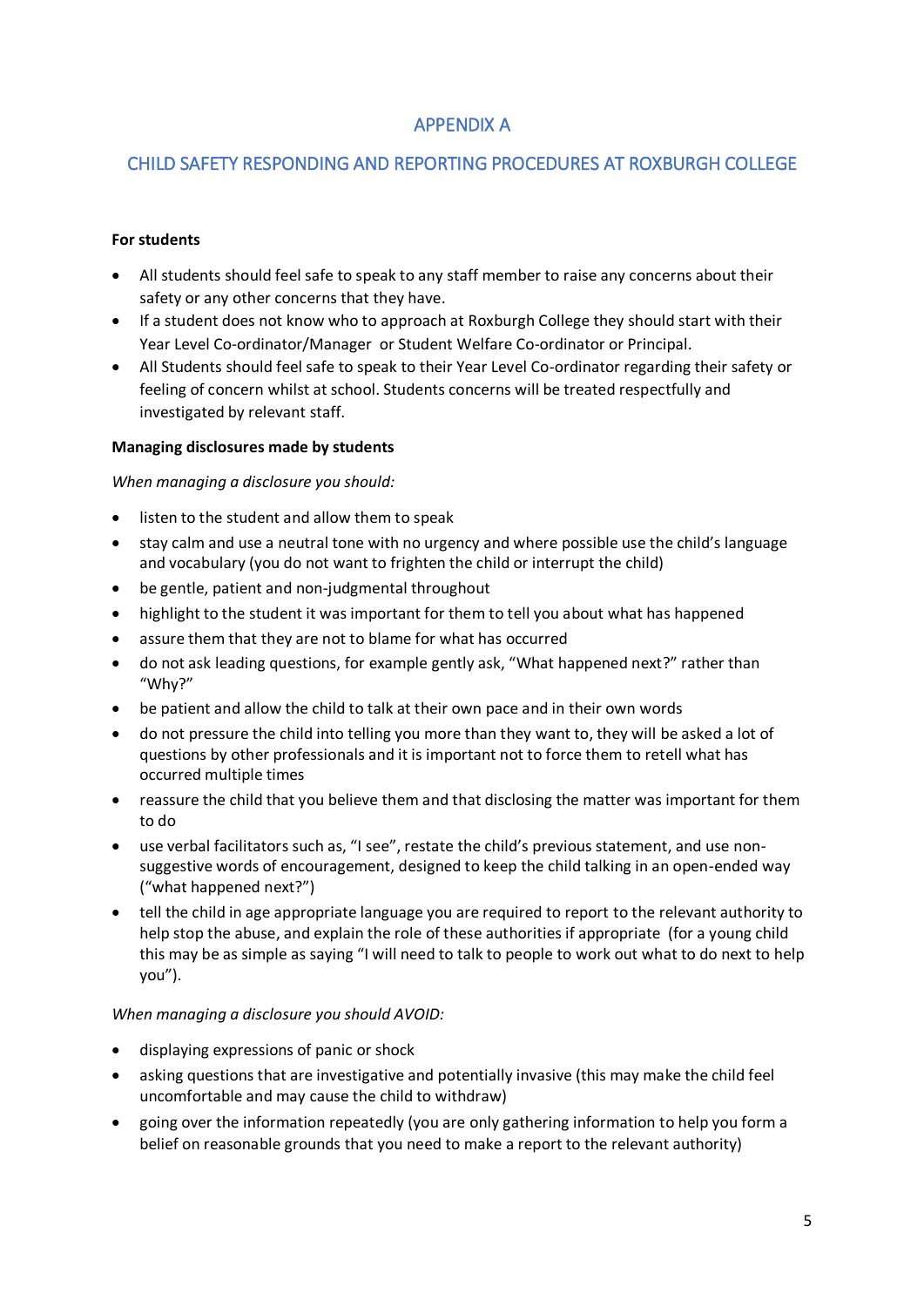# APPENDIX A

# CHILD SAFETY RESPONDING AND REPORTING PROCEDURES AT ROXBURGH COLLEGE

#### **For students**

- All students should feel safe to speak to any staff member to raise any concerns about their safety or any other concerns that they have.
- If a student does not know who to approach at Roxburgh College they should start with their Year Level Co-ordinator/Manager or Student Welfare Co-ordinator or Principal.
- All Students should feel safe to speak to their Year Level Co-ordinator regarding their safety or feeling of concern whilst at school. Students concerns will be treated respectfully and investigated by relevant staff.

#### **Managing disclosures made by students**

#### *When managing a disclosure you should:*

- listen to the student and allow them to speak
- stay calm and use a neutral tone with no urgency and where possible use the child's language and vocabulary (you do not want to frighten the child or interrupt the child)
- be gentle, patient and non-judgmental throughout
- highlight to the student it was important for them to tell you about what has happened
- assure them that they are not to blame for what has occurred
- do not ask leading questions, for example gently ask, "What happened next?" rather than "Why?"
- be patient and allow the child to talk at their own pace and in their own words
- do not pressure the child into telling you more than they want to, they will be asked a lot of questions by other professionals and it is important not to force them to retell what has occurred multiple times
- reassure the child that you believe them and that disclosing the matter was important for them to do
- use verbal facilitators such as, "I see", restate the child's previous statement, and use nonsuggestive words of encouragement, designed to keep the child talking in an open-ended way ("what happened next?")
- tell the child in age appropriate language you are required to report to the relevant authority to help stop the abuse, and explain the role of these authorities if appropriate (for a young child this may be as simple as saying "I will need to talk to people to work out what to do next to help you").

#### *When managing a disclosure you should AVOID:*

- displaying expressions of panic or shock
- asking questions that are investigative and potentially invasive (this may make the child feel uncomfortable and may cause the child to withdraw)
- going over the information repeatedly (you are only gathering information to help you form a belief on reasonable grounds that you need to make a report to the relevant authority)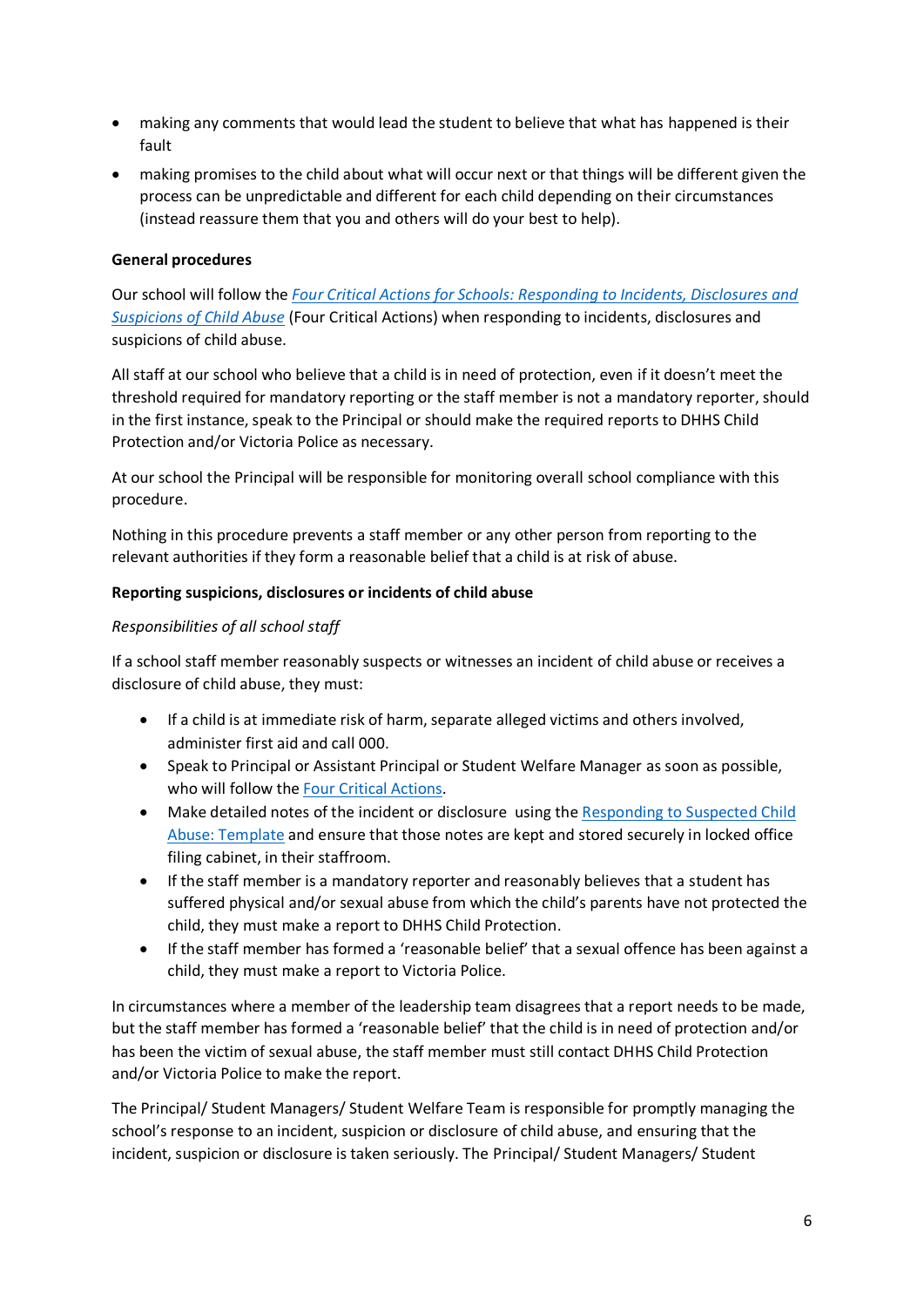- making any comments that would lead the student to believe that what has happened is their fault
- making promises to the child about what will occur next or that things will be different given the process can be unpredictable and different for each child depending on their circumstances (instead reassure them that you and others will do your best to help).

### **General procedures**

Our school will follow the *[Four Critical Actions for Schools: Responding to Incidents, Disclosures and](https://www.education.vic.gov.au/Documents/about/programs/health/protect/FourCriticalActions_ChildAbuse.pdf)  [Suspicions of Child Abuse](https://www.education.vic.gov.au/Documents/about/programs/health/protect/FourCriticalActions_ChildAbuse.pdf)* (Four Critical Actions) when responding to incidents, disclosures and suspicions of child abuse.

All staff at our school who believe that a child is in need of protection, even if it doesn't meet the threshold required for mandatory reporting or the staff member is not a mandatory reporter, should in the first instance, speak to the Principal or should make the required reports to DHHS Child Protection and/or Victoria Police as necessary.

At our school the Principal will be responsible for monitoring overall school compliance with this procedure.

Nothing in this procedure prevents a staff member or any other person from reporting to the relevant authorities if they form a reasonable belief that a child is at risk of abuse.

#### **Reporting suspicions, disclosures or incidents of child abuse**

#### *Responsibilities of all school staff*

If a school staff member reasonably suspects or witnesses an incident of child abuse or receives a disclosure of child abuse, they must:

- If a child is at immediate risk of harm, separate alleged victims and others involved, administer first aid and call 000.
- Speak to Principal or Assistant Principal or Student Welfare Manager as soon as possible, who will follow th[e Four Critical Actions.](https://www.education.vic.gov.au/Documents/about/programs/health/protect/FourCriticalActions_ChildAbuse.pdf)
- Make detailed notes of the incident or disclosure using the Responding to Suspected Child [Abuse: Template](https://www.education.vic.gov.au/Documents/about/programs/health/protect/PROTECT_Schoolstemplate.pdf) and ensure that those notes are kept and stored securely in locked office filing cabinet, in their staffroom.
- If the staff member is a mandatory reporter and reasonably believes that a student has suffered physical and/or sexual abuse from which the child's parents have not protected the child, they must make a report to DHHS Child Protection.
- If the staff member has formed a 'reasonable belief' that a sexual offence has been against a child, they must make a report to Victoria Police.

In circumstances where a member of the leadership team disagrees that a report needs to be made, but the staff member has formed a 'reasonable belief' that the child is in need of protection and/or has been the victim of sexual abuse, the staff member must still contact DHHS Child Protection and/or Victoria Police to make the report.

The Principal/ Student Managers/ Student Welfare Team is responsible for promptly managing the school's response to an incident, suspicion or disclosure of child abuse, and ensuring that the incident, suspicion or disclosure is taken seriously. The Principal/ Student Managers/ Student